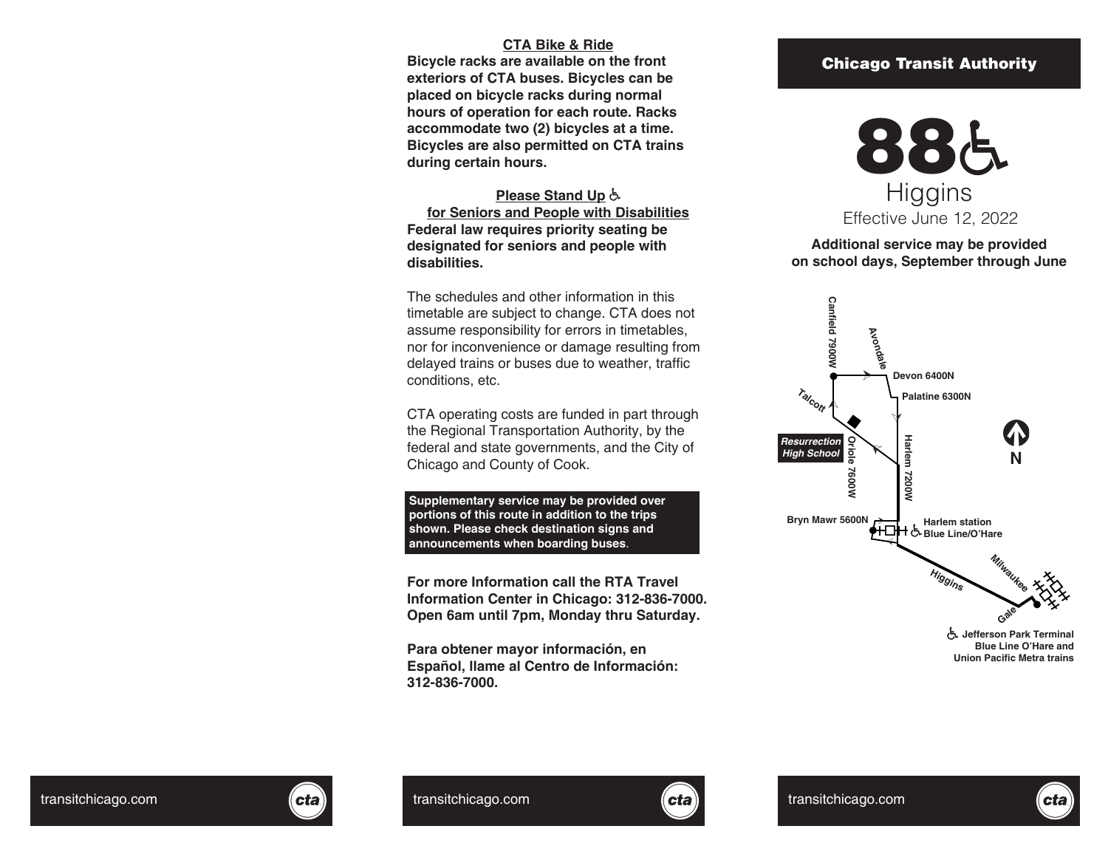## **CTA Bike & Ride**

**Bicycle racks are available on the front exteriors of CTA buses. Bicycles can be placed on bicycle racks during normal hours of operation for each route. Racks accommodate two (2) bicycles at a time. Bicycles are also permitted on CTA trains during certain hours.**

## **Please Stand Up**

**for Seniors and People with Disabilities Federal law requires priority seating be designated for seniors and people with disabilities.**

The schedules and other information in this timetable are subject to change. CTA does not assume responsibility for errors in timetables, nor for inconvenience or damage resulting from delayed trains or buses due to weather, traffic conditions, etc.

CTA operating costs are funded in part through the Regional Transportation Authority, by the federal and state governments, and the City of Chicago and County of Cook.

**Supplementary service may be provided over portions of this route in addition to the trips shown. Please check destination signs and announcements when boarding buses** .

**For more Information call the RTA Travel Information Center in Chicago: 312-836-7000. Open 6am until 7pm, Monday thru Saturday.**

**Para obtener mayor información, en Español, llame al Centro de Información: 312-836-7000.**

## Chicago Transit Authority



## **Additional service may be provided on school days, September through June**



**Blue Line O'Hare and Union Pacific Metra trains**